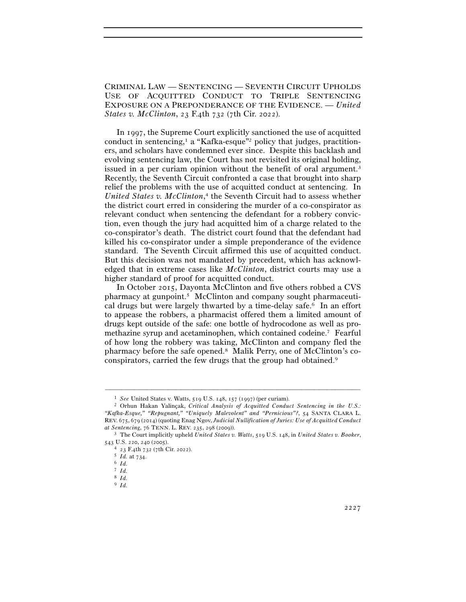CRIMINAL LAW — SENTENCING — SEVENTH CIRCUIT UPHOLDS USE OF ACQUITTED CONDUCT TO TRIPLE SENTENCING EXPOSURE ON A PREPONDERANCE OF THE EVIDENCE. — *United States v. McClinton*, 23 F.4th 732 (7th Cir. 2022).

 In 1997, the Supreme Court explicitly sanctioned the use of acquitted conduct in sentencing,<sup>1</sup> a "Kafka-esque"<sup>2</sup> policy that judges, practitioners, and scholars have condemned ever since. Despite this backlash and evolving sentencing law, the Court has not revisited its original holding, issued in a per curiam opinion without the benefit of oral argument.<sup>3</sup> Recently, the Seventh Circuit confronted a case that brought into sharp relief the problems with the use of acquitted conduct at sentencing. In *United States v. McClinton*, 4 the Seventh Circuit had to assess whether the district court erred in considering the murder of a co-conspirator as relevant conduct when sentencing the defendant for a robbery conviction, even though the jury had acquitted him of a charge related to the co-conspirator's death. The district court found that the defendant had killed his co-conspirator under a simple preponderance of the evidence standard. The Seventh Circuit affirmed this use of acquitted conduct. But this decision was not mandated by precedent, which has acknowledged that in extreme cases like *McClinton*, district courts may use a higher standard of proof for acquitted conduct.

 In October 2015, Dayonta McClinton and five others robbed a CVS pharmacy at gunpoint.5 McClinton and company sought pharmaceutical drugs but were largely thwarted by a time-delay safe.6 In an effort to appease the robbers, a pharmacist offered them a limited amount of drugs kept outside of the safe: one bottle of hydrocodone as well as promethazine syrup and acetaminophen, which contained codeine.7 Fearful of how long the robbery was taking, McClinton and company fled the pharmacy before the safe opened.8 Malik Perry, one of McClinton's coconspirators, carried the few drugs that the group had obtained.9

<sup>1</sup> *See* United States v. Watts, 519 U.S. 148, 157 (<sup>1997</sup>) (per curiam). 2 Orhun Hakan Yalinçak, *Critical Analysis of Acquitted Conduct Sentencing in the U.S.: "Kafka-Esque," "Repugnant," "Uniquely Malevolent" and "Pernicious"?*, 54 SANTA CLARA L. REV. 675, 679 (2014) (quoting Enag Ngov, *Judicial Nullification of Juries: Use of Acquitted Conduct* 

*at Sentencing*, 76 TENN. L. REV. 235, 298 (<sup>2009</sup>)). 3 The Court implicitly upheld *United States v. Watts*, 519 U.S. 148, in *United States v. Booker*,

<sup>543</sup> U.S. 220, 240 (<sup>2005</sup>). 4 <sup>23</sup> F.4th 732 (7th Cir. <sup>2022</sup>). 5 *Id.* at <sup>734</sup>. 6 *Id.*

<sup>7</sup> *Id.*

<sup>8</sup> *Id.*

<sup>9</sup> *Id.*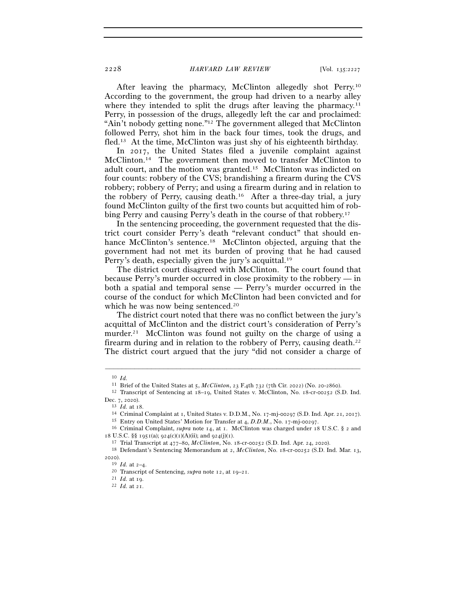2228 *HARVARD LAW REVIEW* [Vol. 135:<sup>2227</sup>

 After leaving the pharmacy, McClinton allegedly shot Perry.10 According to the government, the group had driven to a nearby alley where they intended to split the drugs after leaving the pharmacy.<sup>11</sup> Perry, in possession of the drugs, allegedly left the car and proclaimed: "Ain't nobody getting none."12 The government alleged that McClinton followed Perry, shot him in the back four times, took the drugs, and fled.13 At the time, McClinton was just shy of his eighteenth birthday.

 In 2017, the United States filed a juvenile complaint against McClinton.14 The government then moved to transfer McClinton to adult court, and the motion was granted.15 McClinton was indicted on four counts: robbery of the CVS; brandishing a firearm during the CVS robbery; robbery of Perry; and using a firearm during and in relation to the robbery of Perry, causing death.16 After a three-day trial, a jury found McClinton guilty of the first two counts but acquitted him of robbing Perry and causing Perry's death in the course of that robbery.17

 In the sentencing proceeding, the government requested that the district court consider Perry's death "relevant conduct" that should enhance McClinton's sentence.<sup>18</sup> McClinton objected, arguing that the government had not met its burden of proving that he had caused Perry's death, especially given the jury's acquittal.19

The district court disagreed with McClinton. The court found that because Perry's murder occurred in close proximity to the robbery — in both a spatial and temporal sense — Perry's murder occurred in the course of the conduct for which McClinton had been convicted and for which he was now being sentenced.<sup>20</sup>

 The district court noted that there was no conflict between the jury's acquittal of McClinton and the district court's consideration of Perry's murder.<sup>21</sup> McClinton was found not guilty on the charge of using a firearm during and in relation to the robbery of Perry, causing death.22 The district court argued that the jury "did not consider a charge of

<sup>10</sup> *Id.*

<sup>11</sup> Brief of the United States at 5, *McClinton*, 23 F.4th 732 (7th Cir. 2022) (No. 20-<sup>2860</sup>). 12 Transcript of Sentencing at 18–19, United States v. McClinton, No. 18-cr-00252 (S.D. Ind. Dec. 7, 2020).<br>
<sup>13</sup> *Id.* at 18.<br>
<sup>14</sup> Criminal Complaint at 1, United States v. D.D.M., No. 17-mj-00297 (S.D. Ind. Apr. 21, 2017).<br>
<sup>15</sup> Entry on United States' Motion for Transfer at 4, *D.D.M.*, No. 17-mj-00297.<br>
<sup>16</sup>

<sup>18</sup> U.S.C. §§ 1951(a); 924(c)(1)(A)(ii); and 924(j)(1).<br><sup>17</sup> Trial Transcript at 477–80, *McClinton*, No. 18-cr-00252 (S.D. Ind. Apr. 24, 2020).<br><sup>18</sup> Defendant's Sentencing Memorandum at 2, *McClinton*, No. 18-cr-00252 (S.

<sup>2020).&</sup>lt;br> $19$  *Id.* at  $2-4$ .

<sup>19</sup> *Id.* at 2–<sup>4</sup>. 20 Transcript of Sentencing, *supra* note 12, at 19–<sup>21</sup>. 21 *Id.* at <sup>19</sup>. 22 *Id.* at 21.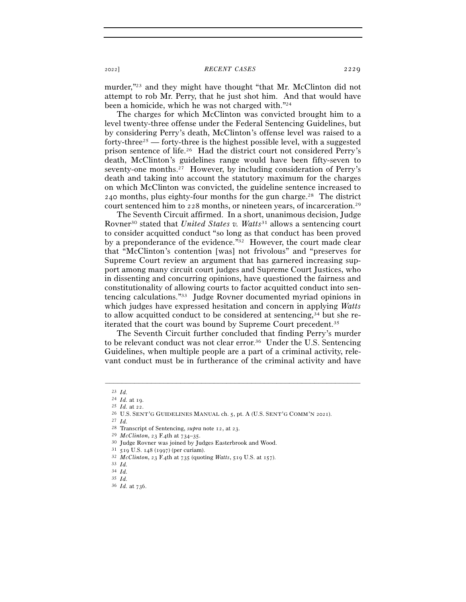## <sup>2022</sup>] *RECENT CASES* 2229

murder,"23 and they might have thought "that Mr. McClinton did not attempt to rob Mr. Perry, that he just shot him. And that would have been a homicide, which he was not charged with."24

The charges for which McClinton was convicted brought him to a level twenty-three offense under the Federal Sentencing Guidelines, but by considering Perry's death, McClinton's offense level was raised to a forty-three<sup>25</sup> — forty-three is the highest possible level, with a suggested prison sentence of life.26 Had the district court not considered Perry's death, McClinton's guidelines range would have been fifty-seven to seventy-one months.27 However, by including consideration of Perry's death and taking into account the statutory maximum for the charges on which McClinton was convicted, the guideline sentence increased to 240 months, plus eighty-four months for the gun charge.28 The district court sentenced him to 228 months, or nineteen years, of incarceration.29

 The Seventh Circuit affirmed. In a short, unanimous decision, Judge Rovner30 stated that *United States v. Watts*31 allows a sentencing court to consider acquitted conduct "so long as that conduct has been proved by a preponderance of the evidence."<sup>32</sup> However, the court made clear that "McClinton's contention [was] not frivolous" and "preserves for Supreme Court review an argument that has garnered increasing support among many circuit court judges and Supreme Court Justices, who in dissenting and concurring opinions, have questioned the fairness and constitutionality of allowing courts to factor acquitted conduct into sentencing calculations."33 Judge Rovner documented myriad opinions in which judges have expressed hesitation and concern in applying *Watts* to allow acquitted conduct to be considered at sentencing,34 but she reiterated that the court was bound by Supreme Court precedent.35

 The Seventh Circuit further concluded that finding Perry's murder to be relevant conduct was not clear error.36 Under the U.S. Sentencing Guidelines, when multiple people are a part of a criminal activity, relevant conduct must be in furtherance of the criminal activity and have

 $\frac{23}{24}$  *Id.* at 19.

<sup>24</sup> *Id.* at <sup>19</sup>. 25 *Id.* at <sup>22</sup>. 26 U.S. SENT'G GUIDELINES MANUAL ch. 5, pt. A (U.S. SENT'G COMM'N <sup>2021</sup>). 27 *Id.*

<sup>&</sup>lt;sup>28</sup> Transcript of Sentencing, *supra* note 12, at 23.<br>
<sup>29</sup> McClinton, 23 F.4th at 734–35.<br>
<sup>30</sup> Judge Rovner was joined by Judges Easterbrook and Wood.<br>
<sup>31</sup> 519 U.S. 148 (1997) (per curiam).<br>
<sup>32</sup> McClinton, 23 F.4th a

<sup>34</sup> *Id.*

<sup>35</sup> *Id.*

<sup>36</sup> *Id.* at 736.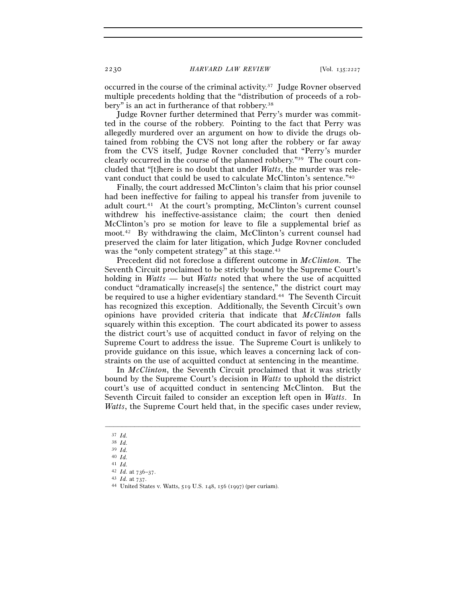occurred in the course of the criminal activity.37 Judge Rovner observed multiple precedents holding that the "distribution of proceeds of a robbery" is an act in furtherance of that robbery.<sup>38</sup>

 Judge Rovner further determined that Perry's murder was committed in the course of the robbery. Pointing to the fact that Perry was allegedly murdered over an argument on how to divide the drugs obtained from robbing the CVS not long after the robbery or far away from the CVS itself, Judge Rovner concluded that "Perry's murder clearly occurred in the course of the planned robbery."39 The court concluded that "[t]here is no doubt that under *Watts*, the murder was relevant conduct that could be used to calculate McClinton's sentence."40

Finally, the court addressed McClinton's claim that his prior counsel had been ineffective for failing to appeal his transfer from juvenile to adult court.41 At the court's prompting, McClinton's current counsel withdrew his ineffective-assistance claim; the court then denied McClinton's pro se motion for leave to file a supplemental brief as moot.42 By withdrawing the claim, McClinton's current counsel had preserved the claim for later litigation, which Judge Rovner concluded was the "only competent strategy" at this stage.<sup>43</sup>

Precedent did not foreclose a different outcome in *McClinton*. The Seventh Circuit proclaimed to be strictly bound by the Supreme Court's holding in *Watts* — but *Watts* noted that where the use of acquitted conduct "dramatically increase[s] the sentence," the district court may be required to use a higher evidentiary standard.<sup>44</sup> The Seventh Circuit has recognized this exception. Additionally, the Seventh Circuit's own opinions have provided criteria that indicate that *McClinton* falls squarely within this exception. The court abdicated its power to assess the district court's use of acquitted conduct in favor of relying on the Supreme Court to address the issue. The Supreme Court is unlikely to provide guidance on this issue, which leaves a concerning lack of constraints on the use of acquitted conduct at sentencing in the meantime.

In *McClinton*, the Seventh Circuit proclaimed that it was strictly bound by the Supreme Court's decision in *Watts* to uphold the district court's use of acquitted conduct in sentencing McClinton. But the Seventh Circuit failed to consider an exception left open in *Watts*. In *Watts*, the Supreme Court held that, in the specific cases under review,

<sup>37</sup> *Id.*

<sup>38</sup> *Id.*

<sup>39</sup> *Id.*

<sup>40</sup> *Id.*

<sup>41</sup> *Id.*<br>42 *Id.* at  $736-37$ .

<sup>42</sup> *Id.* at 736–<sup>37</sup>. 43 *Id.* at <sup>737</sup>. 44 United States v. Watts, 519 U.S. 148, 156 (1997) (per curiam).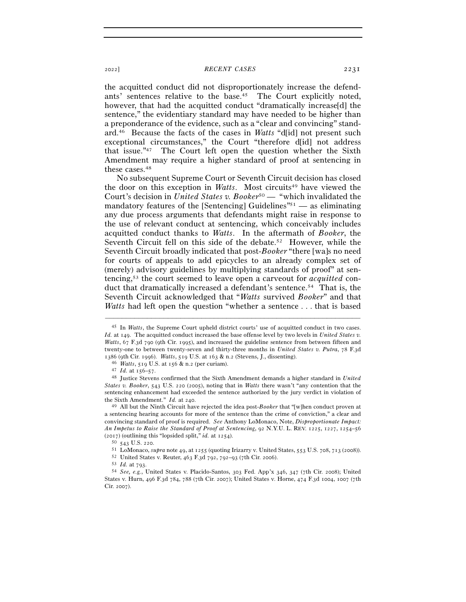## <sup>2022</sup>] *RECENT CASES* 2231

the acquitted conduct did not disproportionately increase the defendants' sentences relative to the base.45 The Court explicitly noted, however, that had the acquitted conduct "dramatically increase[d] the sentence," the evidentiary standard may have needed to be higher than a preponderance of the evidence, such as a "clear and convincing" standard.46 Because the facts of the cases in *Watts* "d[id] not present such exceptional circumstances," the Court "therefore d[id] not address that issue."47 The Court left open the question whether the Sixth Amendment may require a higher standard of proof at sentencing in these cases.48

No subsequent Supreme Court or Seventh Circuit decision has closed the door on this exception in *Watts*. Most circuits<sup>49</sup> have viewed the Court's decision in *United States v. Booker*50 — "which invalidated the mandatory features of the [Sentencing] Guidelines<sup> $n_{51}$ </sup> — as eliminating any due process arguments that defendants might raise in response to the use of relevant conduct at sentencing, which conceivably includes acquitted conduct thanks to *Watts*. In the aftermath of *Booker*, the Seventh Circuit fell on this side of the debate.<sup>52</sup> However, while the Seventh Circuit broadly indicated that post-*Booker* "there [wa]s no need for courts of appeals to add epicycles to an already complex set of (merely) advisory guidelines by multiplying standards of proof" at sentencing,53 the court seemed to leave open a carveout for *acquitted* conduct that dramatically increased a defendant's sentence.<sup>54</sup> That is, the Seventh Circuit acknowledged that "*Watts* survived *Booker*" and that *Watts* had left open the question "whether a sentence . . . that is based

<sup>45</sup> In *Watts*, the Supreme Court upheld district courts' use of acquitted conduct in two cases. *Id.* at 149. The acquitted conduct increased the base offense level by two levels in *United States v. Watts*, 67 F.3d 790 (9th Cir. 1995), and increased the guideline sentence from between fifteen and twenty-one to between twenty-seven and thirty-three months in *United States v. Putra*, 78 F.3d

<sup>1386 (9</sup>th Cir. 1996). Watts, 519 U.S. at 163 & n.2 (Stevens, J., dissenting).<br>
<sup>46</sup> Watts, 519 U.S. at 156 & n.2 (per curiam).<br>
<sup>47</sup> Id. at 156–57.<br>
<sup>48</sup> Justice Stevens confirmed that the Sixth Amendment demands a higher *States v. Booker*, 543 U.S. 220 (2005), noting that in *Watts* there wasn't "any contention that the sentencing enhancement had exceeded the sentence authorized by the jury verdict in violation of the Sixth Amendment."  $Id$ . at 240.

<sup>&</sup>lt;sup>49</sup> All but the Ninth Circuit have rejected the idea post-*Booker* that "[w]hen conduct proven at a sentencing hearing accounts for more of the sentence than the crime of conviction," a clear and convincing standard of proof is required. *See* Anthony LoMonaco, Note, *Disproportionate Impact: An Impetus to Raise the Standard of Proof at Sentencing*, 92 N.Y.U. L. REV. 1225, 1227, 1254–56 (2017) (outlining this "lopsided split," *id.* at 1254).<br>
<sup>50</sup> 543 U.S. 220.<br>
<sup>51</sup> LoMonaco, *supra* note 49, at 1255 (quoting Irizarry v. United States, 553 U.S. 708, 713 (2008)).<br>
<sup>52</sup> United States v. Reuter, 463 F.3d

<sup>53</sup> *Id.* at <sup>793</sup>. 54 *See, e.g.*, United States v. Placido-Santos, 303 Fed. App'x 346, 347 (7th Cir. 2008); United States v. Hurn, 496 F.3d 784, 788 (7th Cir. 2007); United States v. Horne, 474 F.3d 1004, 1007 (7th Cir. 2007).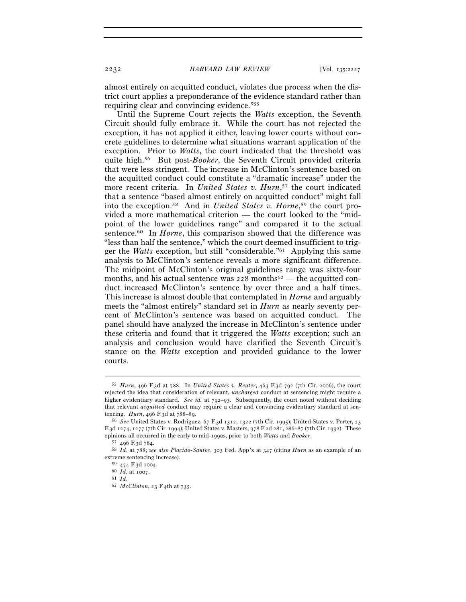almost entirely on acquitted conduct, violates due process when the district court applies a preponderance of the evidence standard rather than requiring clear and convincing evidence."55

Until the Supreme Court rejects the *Watts* exception, the Seventh Circuit should fully embrace it. While the court has not rejected the exception, it has not applied it either, leaving lower courts without concrete guidelines to determine what situations warrant application of the exception. Prior to *Watts*, the court indicated that the threshold was quite high.56 But post-*Booker*, the Seventh Circuit provided criteria that were less stringent. The increase in McClinton's sentence based on the acquitted conduct could constitute a "dramatic increase" under the more recent criteria. In *United States v. Hurn*, 57 the court indicated that a sentence "based almost entirely on acquitted conduct" might fall into the exception.58 And in *United States v. Horne*, 59 the court provided a more mathematical criterion — the court looked to the "midpoint of the lower guidelines range" and compared it to the actual sentence.<sup>60</sup> In *Horne*, this comparison showed that the difference was "less than half the sentence," which the court deemed insufficient to trigger the *Watts* exception, but still "considerable."61 Applying this same analysis to McClinton's sentence reveals a more significant difference. The midpoint of McClinton's original guidelines range was sixty-four months, and his actual sentence was  $228$  months<sup>62</sup> — the acquitted conduct increased McClinton's sentence by over three and a half times. This increase is almost double that contemplated in *Horne* and arguably meets the "almost entirely" standard set in *Hurn* as nearly seventy percent of McClinton's sentence was based on acquitted conduct. The panel should have analyzed the increase in McClinton's sentence under these criteria and found that it triggered the *Watts* exception; such an analysis and conclusion would have clarified the Seventh Circuit's stance on the *Watts* exception and provided guidance to the lower courts.

<sup>55</sup> *Hurn*, 496 F.3d at 788. In *United States v. Reuter*, 463 F.3d 792 (7th Cir. 2006), the court rejected the idea that consideration of relevant, *uncharged* conduct at sentencing might require a higher evidentiary standard. *See id.* at 792–93. Subsequently, the court noted without deciding that relevant *acquitted* conduct may require a clear and convincing evidentiary standard at sen-

tencing. *Hurn*, 496 F.3d at 788–89.<br><sup>56</sup> *See* United States v. Rodriguez, 67 F.3d 1312, 1322 (7th Cir. 1995); United States v. Porter, 23 F.3d 1274, 1277 (7th Cir. 1994); United States v. Masters, 978 F.2d 281, 286–87 (7th Cir. 1992). These

 $^{57}$  496 F.3d 784.<br> $^{58}$  Id. at 788; see also Placido-Santos, 303 Fed. App'x at 347 (citing Hurn as an example of an extreme sentencing increase).

<sup>59</sup> <sup>474</sup> F.3d <sup>1004</sup>. 60 *Id.* at <sup>1007</sup>. 61 *Id.*

<sup>62</sup> *McClinton*, 23 F.4th at 735.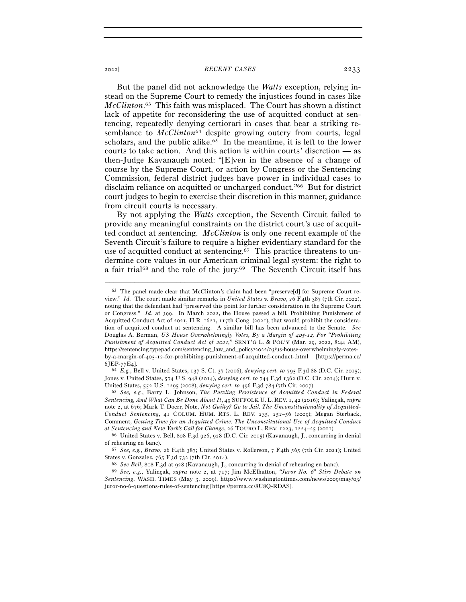## <sup>2022</sup>] *RECENT CASES* 2233

But the panel did not acknowledge the *Watts* exception, relying instead on the Supreme Court to remedy the injustices found in cases like *McClinton*. 63 This faith was misplaced. The Court has shown a distinct lack of appetite for reconsidering the use of acquitted conduct at sentencing, repeatedly denying certiorari in cases that bear a striking resemblance to *McClinton*<sup>64</sup> despite growing outcry from courts, legal scholars, and the public alike.<sup>65</sup> In the meantime, it is left to the lower courts to take action. And this action is within courts' discretion — as then-Judge Kavanaugh noted: "[E]ven in the absence of a change of course by the Supreme Court, or action by Congress or the Sentencing Commission, federal district judges have power in individual cases to disclaim reliance on acquitted or uncharged conduct."66 But for district court judges to begin to exercise their discretion in this manner, guidance from circuit courts is necessary.

By not applying the *Watts* exception, the Seventh Circuit failed to provide any meaningful constraints on the district court's use of acquitted conduct at sentencing. *McClinton* is only one recent example of the Seventh Circuit's failure to require a higher evidentiary standard for the use of acquitted conduct at sentencing.67 This practice threatens to undermine core values in our American criminal legal system: the right to a fair trial68 and the role of the jury.69 The Seventh Circuit itself has

–––––––––––––––––––––––––––––––––––––––––––––––––––––––––––––

Jones v. United States, 574 U.S. 948 (2014), *denying cert. to* 744 F.3d 1362 (D.C. Cir. 2014); Hurn v. United States, 552 U.S. 1295 (2008), *denying cert. to* <sup>496</sup> F.3d 784 (7th Cir. <sup>2007</sup>). 65 *See, e.g.*, Barry L. Johnson, *The Puzzling Persistence of Acquitted Conduct in Federal* 

*Sentencing, And What Can Be Done About It*, 49 SUFFOLK U. L. REV. 1, 42 (2016); Yalinçak, *supra* note 2, at 676; Mark T. Doerr, Note, *Not Guilty? Go to Jail. The Unconstitutionality of Acquitted-Conduct Sentencing*, 41 COLUM. HUM. RTS. L. REV. 235, 252–56 (2009); Megan Sterback, Comment, *Getting Time for an Acquitted Crime: The Unconstitutional Use of Acquitted Conduct at Sentencing and New York's Call for Change*, 26 TOURO L. REV. 1223, 1224–25 (<sup>2011</sup>). 66 United States v. Bell, 808 F.3d 926, 928 (D.C. Cir. 2015) (Kavanaugh, J., concurring in denial

of rehearing en banc). 67 *See, e.g.*, *Bravo*, 26 F.4th 387; United States v. Rollerson, 7 F.4th 565 (7th Cir. 2021); United

States v. Gonzalez, 765 F.3d 732 (7th Cir. 2014).<br>
<sup>68</sup> See Bell, 808 F.3d at 928 (Kavanaugh, J., concurring in denial of rehearing en banc).<br>
<sup>69</sup> See, e.g., Yalinçak, *supra* note 2, at 717; Jim McElhatton, *"Juror No.* 

*Sentencing*, WASH. TIMES (May 3, 2009), https://www.washingtontimes.com/news/2009/may/03/ juror-no-6-questions-rules-of-sentencing [https://perma.cc/8U8Q-RDAS].

<sup>63</sup> The panel made clear that McClinton's claim had been "preserve[d] for Supreme Court review." *Id.* The court made similar remarks in *United States v. Bravo*, 26 F.4th 387 (7th Cir. 2022), noting that the defendant had "preserved this point for further consideration in the Supreme Court or Congress." *Id.* at 399. In March 2022, the House passed a bill, Prohibiting Punishment of Acquitted Conduct Act of 2021, H.R. 1621, 117th Cong. (2021), that would prohibit the consideration of acquitted conduct at sentencing. A similar bill has been advanced to the Senate. *See* Douglas A. Berman, *US House Overwhelmingly Votes, By a Margin of 405-12, For "Prohibiting Punishment of Acquitted Conduct Act of 2021,*" SENT'G L. & POL'Y (Mar. 29, 2022, 8:44 AM), https://sentencing.typepad.com/sentencing\_law\_and\_policy/2022/03/us-house-overwhelmingly-votesby-a-margin-of-405-12-for-prohibiting-punishment-of-acquitted-conduct-.html [https://perma.cc/ <sup>6</sup>JEP-77E<sup>4</sup>]. 64 *E.g.*, Bell v. United States, 137 S. Ct. 37 (2016), *denying cert. to* <sup>795</sup> F.3d 88 (D.C. Cir. 2015);